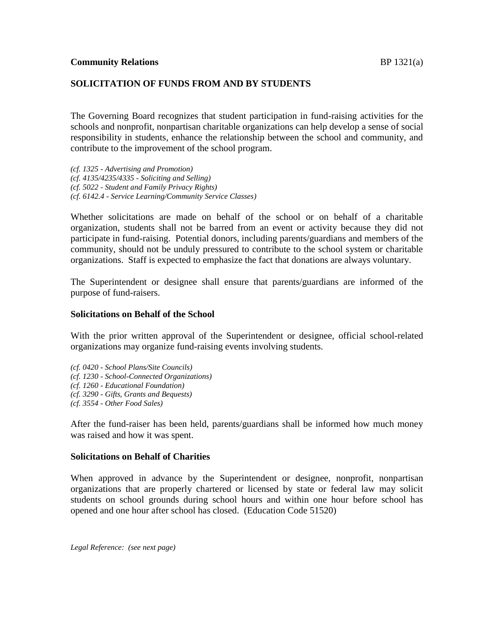## **SOLICITATION OF FUNDS FROM AND BY STUDENTS**

The Governing Board recognizes that student participation in fund-raising activities for the schools and nonprofit, nonpartisan charitable organizations can help develop a sense of social responsibility in students, enhance the relationship between the school and community, and contribute to the improvement of the school program.

*(cf. 1325 - Advertising and Promotion) (cf. 4135/4235/4335 - Soliciting and Selling) (cf. 5022 - Student and Family Privacy Rights) (cf. 6142.4 - Service Learning/Community Service Classes)*

Whether solicitations are made on behalf of the school or on behalf of a charitable organization, students shall not be barred from an event or activity because they did not participate in fund-raising. Potential donors, including parents/guardians and members of the community, should not be unduly pressured to contribute to the school system or charitable organizations. Staff is expected to emphasize the fact that donations are always voluntary.

The Superintendent or designee shall ensure that parents/guardians are informed of the purpose of fund-raisers.

## **Solicitations on Behalf of the School**

With the prior written approval of the Superintendent or designee, official school-related organizations may organize fund-raising events involving students.

*(cf. 0420 - School Plans/Site Councils) (cf. 1230 - School-Connected Organizations) (cf. 1260 - Educational Foundation) (cf. 3290 - Gifts, Grants and Bequests) (cf. 3554 - Other Food Sales)*

After the fund-raiser has been held, parents/guardians shall be informed how much money was raised and how it was spent.

## **Solicitations on Behalf of Charities**

When approved in advance by the Superintendent or designee, nonprofit, nonpartisan organizations that are properly chartered or licensed by state or federal law may solicit students on school grounds during school hours and within one hour before school has opened and one hour after school has closed. (Education Code 51520)

*Legal Reference: (see next page)*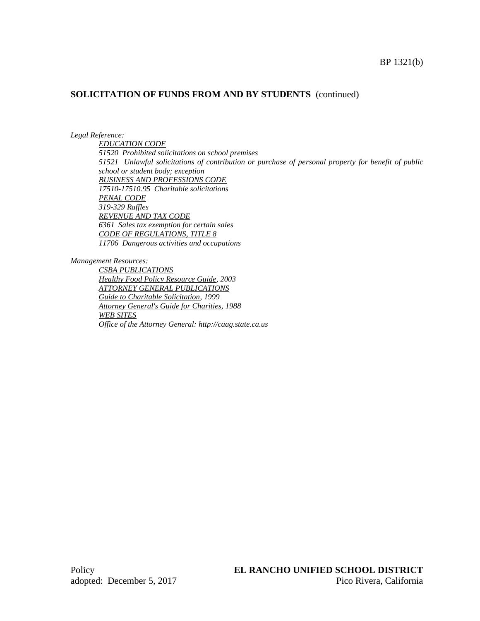### **SOLICITATION OF FUNDS FROM AND BY STUDENTS** (continued)

#### *Legal Reference:*

*EDUCATION CODE 51520 Prohibited solicitations on school premises 51521 Unlawful solicitations of contribution or purchase of personal property for benefit of public school or student body; exception BUSINESS AND PROFESSIONS CODE 17510-17510.95 Charitable solicitations PENAL CODE 319-329 Raffles REVENUE AND TAX CODE 6361 Sales tax exemption for certain sales CODE OF REGULATIONS, TITLE 8 11706 Dangerous activities and occupations*

*Management Resources:*

*CSBA PUBLICATIONS Healthy Food Policy Resource Guide, 2003 ATTORNEY GENERAL PUBLICATIONS Guide to Charitable Solicitation, 1999 Attorney General's Guide for Charities, 1988 WEB SITES Office of the Attorney General: http://caag.state.ca.us*